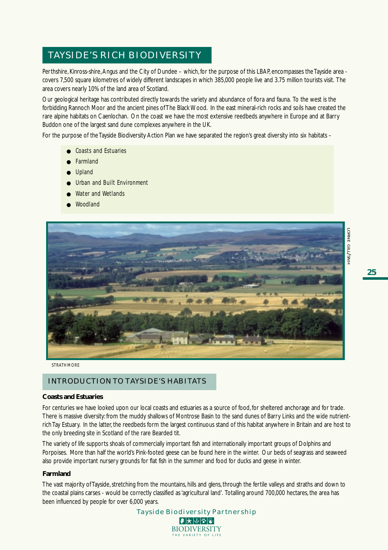# TAYSIDE'S RICH BIODIVERSITY

Perthshire, Kinross-shire, Angus and the City of Dundee – which, for the purpose of this LBAP, encompasses the Tayside area covers 7,500 square kilometres of widely different landscapes in which 385,000 people live and 3.75 million tourists visit. The area covers nearly 10% of the land area of Scotland.

Our geological heritage has contributed directly towards the variety and abundance of flora and fauna. To the west is the forbidding Rannoch Moor and the ancient pines of The Black Wood. In the east mineral-rich rocks and soils have created the rare alpine habitats on Caenlochan. On the coast we have the most extensive reedbeds anywhere in Europe and at Barry Buddon one of the largest sand dune complexes anywhere in the UK.

For the purpose of the Tayside Biodiversity Action Plan we have separated the region's great diversity into six habitats –

- Coasts and Estuaries
- **Farmland**
- Upland
- Urban and Built Environment
- Water and Wetlands
- Woodland



*STRATHMORE*

## INTRODUCTION TO TAYSIDE'S HABITATS

#### **Coasts and Estuaries**

For centuries we have looked upon our local coasts and estuaries as a source of food, for sheltered anchorage and for trade. There is massive diversity: from the muddy shallows of Montrose Basin to the sand dunes of Barry Links and the wide nutrientrich Tay Estuary. In the latter, the reedbeds form the largest continuous stand of this habitat anywhere in Britain and are host to the only breeding site in Scotland of the rare Bearded tit.

The variety of life supports shoals of commercially important fish and internationally important groups of Dolphins and Porpoises. More than half the world's Pink-footed geese can be found here in the winter. Our beds of seagrass and seaweed also provide important nursery grounds for flat fish in the summer and food for ducks and geese in winter.

### **Farmland**

The vast majority of Tayside, stretching from the mountains, hills and glens, through the fertile valleys and straths and down to the coastal plains carses - would be correctly classified as 'agricultural land'. Totalling around 700,000 hectares, the area has been influenced by people for over 6,000 years.